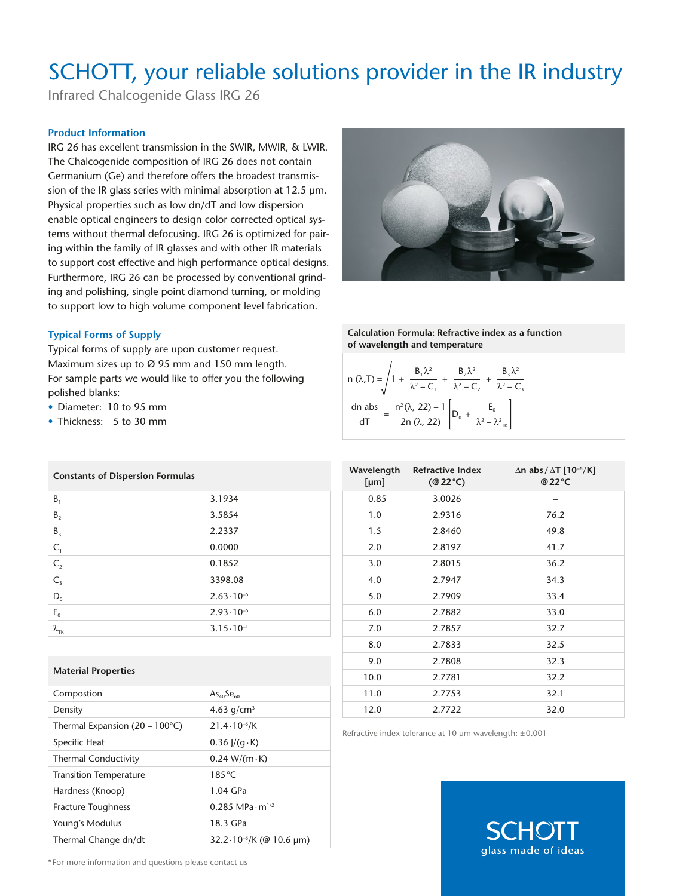## SCHOTT, your reliable solutions provider in the IR industry

Infrared Chalcogenide Glass IRG 26

## **Product Information**

IRG 26 has excellent transmission in the SWIR, MWIR, & LWIR. The Chalcogenide composition of IRG 26 does not contain Germanium (Ge) and therefore offers the broadest transmission of the IR glass series with minimal absorption at 12.5 μm. Physical properties such as low dn/dT and low dispersion enable optical engineers to design color corrected optical systems without thermal defocusing. IRG 26 is optimized for pairing within the family of IR glasses and with other IR materials to support cost effective and high performance optical designs. Furthermore, IRG 26 can be processed by conventional grinding and polishing, single point diamond turning, or molding to support low to high volume component level fabrication.

### **Typical Forms of Supply**

Typical forms of supply are upon customer request. Maximum sizes up to Ø 95 mm and 150 mm length. For sample parts we would like to offer you the following polished blanks:

- Diameter: 10 to 95 mm
- Thickness: 5 to 30 mm

**Constants of Dispersion Formulas** 

**Calculation Formula: Refractive index as a function of wavelength and temperature**

|        | n $(\lambda, T) = \sqrt{1 + \frac{B_1 \lambda^2}{\lambda^2 - C_1} + \frac{B_2 \lambda^2}{\lambda^2 - C_2} + \frac{B_3 \lambda^2}{\lambda^2 - C_3}}$ |  |
|--------|-----------------------------------------------------------------------------------------------------------------------------------------------------|--|
| dn abs | $\frac{n^2(\lambda, 22) - 1}{2n (\lambda, 22)} \left[ D_0 + \frac{E_0}{\lambda^2 - \lambda_{\text{TK}}^2} \right]$                                  |  |

| [µm] | Wavelength Refractive Index<br>$(\textcircled{a}22^{\circ}\text{C})$ | $\Delta$ n abs/ $\Delta$ T [10 <sup>-6</sup> /K]<br>@22°C |
|------|----------------------------------------------------------------------|-----------------------------------------------------------|
| 0.85 | 3.0026                                                               | -                                                         |
| 1.0  | 2.9316                                                               | 76.2                                                      |
| 1.5  | 2.8460                                                               | 49.8                                                      |
| 2.0  | 2.8197                                                               | 41.7                                                      |
| 3.0  | 2.8015                                                               | 36.2                                                      |
| 4.0  | 2.7947                                                               | 34.3                                                      |
| 5.0  | 2.7909                                                               | 33.4                                                      |
| 6.0  | 2.7882                                                               | 33.0                                                      |
| 7.0  | 2.7857                                                               | 32.7                                                      |
| 8.0  | 2.7833                                                               | 32.5                                                      |
| 9.0  | 2.7808                                                               | 32.3                                                      |
| 10.0 | 2.7781                                                               | 32.2                                                      |
| 11.0 | 2.7753                                                               | 32.1                                                      |
| 12.0 | 2.7722                                                               | 32.0                                                      |

Refractive index tolerance at 10 µm wavelength: ±0.001



| ς,                      | 0.0000               |
|-------------------------|----------------------|
| $C_{2}$                 | 0.1852               |
| $\mathsf{C}_3$          | 3398.08              |
| $\mathsf{D}_\mathsf{0}$ | $2.63 \cdot 10^{-5}$ |
| $E_{o}$                 | $2.93 \cdot 10^{-5}$ |
| ТK                      | $3.15 \cdot 10^{-1}$ |

 $B_1$  3.1934  $B_2$  3.5854  $B_3$  2.2337

#### **Material Properties**

| Compostion                                | As <sub>40</sub> Se <sub>60</sub>    |
|-------------------------------------------|--------------------------------------|
| Density                                   | 4.63 $q/cm^3$                        |
| Thermal Expansion (20 – 100 $^{\circ}$ C) | $21.4 \cdot 10^{-6}$ /K              |
| Specific Heat                             | $0.36$ $\frac{1}{(q \cdot K)}$       |
| <b>Thermal Conductivity</b>               | $0.24 W/(m \cdot K)$                 |
| <b>Transition Temperature</b>             | $185^{\circ}$ C                      |
| Hardness (Knoop)                          | 1.04 GPa                             |
| <b>Fracture Toughness</b>                 | $0.285$ MPa $\cdot$ m <sup>1/2</sup> |
| Young's Modulus                           | 18.3 GPa                             |
| Thermal Change dn/dt                      | 32.2.10 <sup>-6</sup> /K (@ 10.6 um) |

\* For more information and questions please contact us